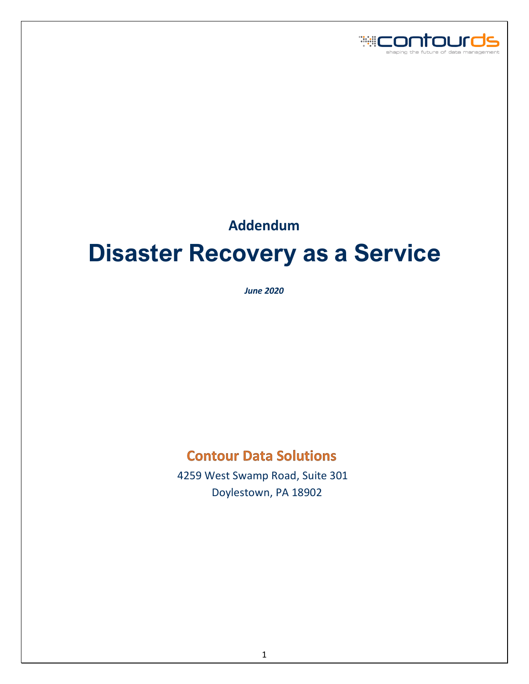

# **Addendum**

# **Disaster Recovery as a Service**

*June 2020*

# **Contour Data Solutions**

 4259 West Swamp Road, Suite 301 Doylestown, PA 18902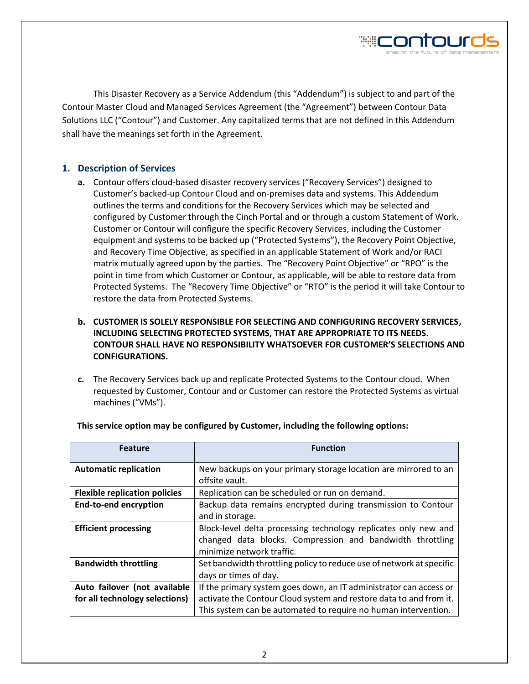

This Disaster Recovery as a Service Addendum (this "Addendum") is subject to and part of the Contour Master Cloud and Managed Services Agreement (the "Agreement") between Contour Data Solutions LLC ("Contour") and Customer. Any capitalized terms that are not defined in this Addendum shall have the meanings set forth in the Agreement.

# **1. Description of Services**

**a.** Contour offers cloud-based disaster recovery services ("Recovery Services") designed to Customer's backed-up Contour Cloud and on-premises data and systems. This Addendum outlines the terms and conditions for the Recovery Services which may be selected and configured by Customer through the Cinch Portal and or through a custom Statement of Work. Customer or Contour will configure the specific Recovery Services, including the Customer equipment and systems to be backed up ("Protected Systems"), the Recovery Point Objective, and Recovery Time Objective, as specified in an applicable Statement of Work and/or RACI matrix mutually agreed upon by the parties. The "Recovery Point Objective" or "RPO" is the point in time from which Customer or Contour, as applicable, will be able to restore data from Protected Systems. The "Recovery Time Objective" or "RTO" is the period it will take Contour to restore the data from Protected Systems.

# **b. CUSTOMER IS SOLELY RESPONSIBLE FOR SELECTING AND CONFIGURING RECOVERY SERVICES, INCLUDING SELECTING PROTECTED SYSTEMS, THAT ARE APPROPRIATE TO ITS NEEDS. CONTOUR SHALL HAVE NO RESPONSIBILITY WHATSOEVER FOR CUSTOMER'S SELECTIONS AND CONFIGURATIONS.**

**c.** The Recovery Services back up and replicate Protected Systems to the Contour cloud. When requested by Customer, Contour and or Customer can restore the Protected Systems as virtual machines ("VMs").

| <b>Feature</b>                       | <b>Function</b>                                                                   |
|--------------------------------------|-----------------------------------------------------------------------------------|
| <b>Automatic replication</b>         | New backups on your primary storage location are mirrored to an<br>offsite vault. |
| <b>Flexible replication policies</b> | Replication can be scheduled or run on demand.                                    |
| <b>End-to-end encryption</b>         | Backup data remains encrypted during transmission to Contour                      |
|                                      | and in storage.                                                                   |
| <b>Efficient processing</b>          | Block-level delta processing technology replicates only new and                   |
|                                      | changed data blocks. Compression and bandwidth throttling                         |
|                                      | minimize network traffic.                                                         |
| <b>Bandwidth throttling</b>          | Set bandwidth throttling policy to reduce use of network at specific              |
|                                      | days or times of day.                                                             |
| Auto failover (not available         | If the primary system goes down, an IT administrator can access or                |
| for all technology selections)       | activate the Contour Cloud system and restore data to and from it.                |
|                                      | This system can be automated to require no human intervention.                    |

#### **This service option may be configured by Customer, including the following options:**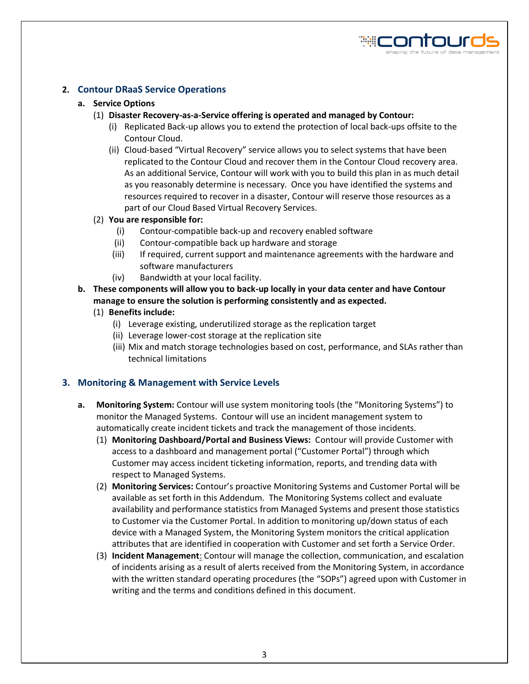

# **2. Contour DRaaS Service Operations**

#### **a. Service Options**

- (1) **Disaster Recovery-as-a-Service offering is operated and managed by Contour:** 
	- (i) Replicated Back-up allows you to extend the protection of local back-ups offsite to the Contour Cloud.
	- (ii) Cloud-based "Virtual Recovery" service allows you to select systems that have been replicated to the Contour Cloud and recover them in the Contour Cloud recovery area. As an additional Service, Contour will work with you to build this plan in as much detail as you reasonably determine is necessary. Once you have identified the systems and resources required to recover in a disaster, Contour will reserve those resources as a part of our Cloud Based Virtual Recovery Services.
- (2) **You are responsible for:**
	- (i) Contour-compatible back-up and recovery enabled software
	- (ii) Contour-compatible back up hardware and storage
	- (iii) If required, current support and maintenance agreements with the hardware and software manufacturers
	- (iv) Bandwidth at your local facility.
- **b. These components will allow you to back-up locally in your data center and have Contour manage to ensure the solution is performing consistently and as expected.** 
	- (1) **Benefits include:**
		- (i) Leverage existing, underutilized storage as the replication target
		- (ii) Leverage lower-cost storage at the replication site
		- (iii) Mix and match storage technologies based on cost, performance, and SLAs rather than technical limitations

#### **3. Monitoring & Management with Service Levels**

- **a. Monitoring System:** Contour will use system monitoring tools (the "Monitoring Systems") to monitor the Managed Systems. Contour will use an incident management system to automatically create incident tickets and track the management of those incidents.
	- (1) **Monitoring Dashboard/Portal and Business Views:** Contour will provide Customer with access to a dashboard and management portal ("Customer Portal") through which Customer may access incident ticketing information, reports, and trending data with respect to Managed Systems.
	- (2) **Monitoring Services:** Contour's proactive Monitoring Systems and Customer Portal will be available as set forth in this Addendum. The Monitoring Systems collect and evaluate availability and performance statistics from Managed Systems and present those statistics to Customer via the Customer Portal. In addition to monitoring up/down status of each device with a Managed System, the Monitoring System monitors the critical application attributes that are identified in cooperation with Customer and set forth a Service Order.
	- (3) **Incident Management**: Contour will manage the collection, communication, and escalation of incidents arising as a result of alerts received from the Monitoring System, in accordance with the written standard operating procedures (the "SOPs") agreed upon with Customer in writing and the terms and conditions defined in this document.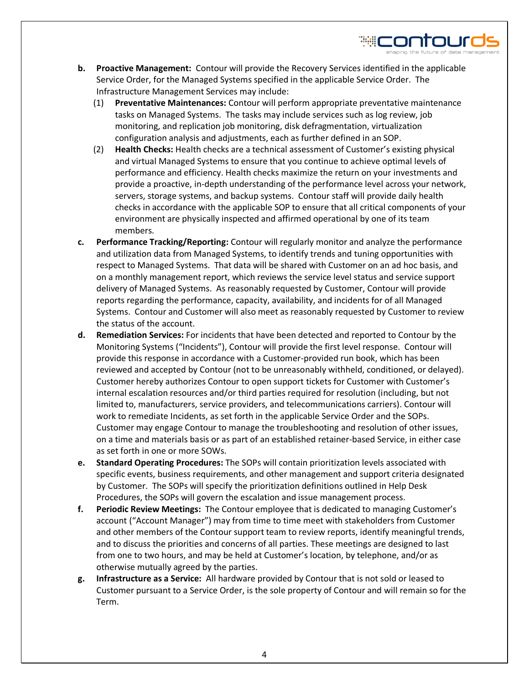**b. Proactive Management:** Contour will provide the Recovery Services identified in the applicable Service Order, for the Managed Systems specified in the applicable Service Order. The Infrastructure Management Services may include:

₩CONTOl

- (1) **Preventative Maintenances:** Contour will perform appropriate preventative maintenance tasks on Managed Systems. The tasks may include services such as log review, job monitoring, and replication job monitoring, disk defragmentation, virtualization configuration analysis and adjustments, each as further defined in an SOP.
- (2) **Health Checks:** Health checks are a technical assessment of Customer's existing physical and virtual Managed Systems to ensure that you continue to achieve optimal levels of performance and efficiency. Health checks maximize the return on your investments and provide a proactive, in-depth understanding of the performance level across your network, servers, storage systems, and backup systems. Contour staff will provide daily health checks in accordance with the applicable SOP to ensure that all critical components of your environment are physically inspected and affirmed operational by one of its team members.
- **c. Performance Tracking/Reporting:** Contour will regularly monitor and analyze the performance and utilization data from Managed Systems, to identify trends and tuning opportunities with respect to Managed Systems. That data will be shared with Customer on an ad hoc basis, and on a monthly management report, which reviews the service level status and service support delivery of Managed Systems. As reasonably requested by Customer, Contour will provide reports regarding the performance, capacity, availability, and incidents for of all Managed Systems. Contour and Customer will also meet as reasonably requested by Customer to review the status of the account.
- **d. Remediation Services:** For incidents that have been detected and reported to Contour by the Monitoring Systems ("Incidents"), Contour will provide the first level response. Contour will provide this response in accordance with a Customer-provided run book, which has been reviewed and accepted by Contour (not to be unreasonably withheld, conditioned, or delayed). Customer hereby authorizes Contour to open support tickets for Customer with Customer's internal escalation resources and/or third parties required for resolution (including, but not limited to, manufacturers, service providers, and telecommunications carriers). Contour will work to remediate Incidents, as set forth in the applicable Service Order and the SOPs. Customer may engage Contour to manage the troubleshooting and resolution of other issues, on a time and materials basis or as part of an established retainer-based Service, in either case as set forth in one or more SOWs.
- **e. Standard Operating Procedures:** The SOPs will contain prioritization levels associated with specific events, business requirements, and other management and support criteria designated by Customer. The SOPs will specify the prioritization definitions outlined in Help Desk Procedures, the SOPs will govern the escalation and issue management process.
- **f. Periodic Review Meetings:** The Contour employee that is dedicated to managing Customer's account ("Account Manager") may from time to time meet with stakeholders from Customer and other members of the Contour support team to review reports, identify meaningful trends, and to discuss the priorities and concerns of all parties. These meetings are designed to last from one to two hours, and may be held at Customer's location, by telephone, and/or as otherwise mutually agreed by the parties.
- **g. Infrastructure as a Service:** All hardware provided by Contour that is not sold or leased to Customer pursuant to a Service Order, is the sole property of Contour and will remain so for the Term.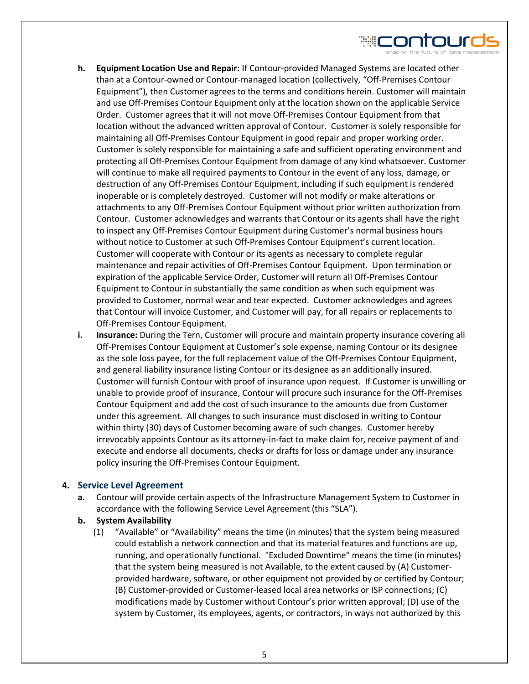

- **h. Equipment Location Use and Repair:** If Contour-provided Managed Systems are located other than at a Contour-owned or Contour-managed location (collectively, "Off-Premises Contour Equipment"), then Customer agrees to the terms and conditions herein. Customer will maintain and use Off-Premises Contour Equipment only at the location shown on the applicable Service Order. Customer agrees that it will not move Off-Premises Contour Equipment from that location without the advanced written approval of Contour. Customer is solely responsible for maintaining all Off-Premises Contour Equipment in good repair and proper working order. Customer is solely responsible for maintaining a safe and sufficient operating environment and protecting all Off-Premises Contour Equipment from damage of any kind whatsoever. Customer will continue to make all required payments to Contour in the event of any loss, damage, or destruction of any Off-Premises Contour Equipment, including if such equipment is rendered inoperable or is completely destroyed. Customer will not modify or make alterations or attachments to any Off-Premises Contour Equipment without prior written authorization from Contour. Customer acknowledges and warrants that Contour or its agents shall have the right to inspect any Off-Premises Contour Equipment during Customer's normal business hours without notice to Customer at such Off-Premises Contour Equipment's current location. Customer will cooperate with Contour or its agents as necessary to complete regular maintenance and repair activities of Off-Premises Contour Equipment. Upon termination or expiration of the applicable Service Order, Customer will return all Off-Premises Contour Equipment to Contour in substantially the same condition as when such equipment was provided to Customer, normal wear and tear expected. Customer acknowledges and agrees that Contour will invoice Customer, and Customer will pay, for all repairs or replacements to Off-Premises Contour Equipment.
- **i. Insurance:** During the Tern, Customer will procure and maintain property insurance covering all Off-Premises Contour Equipment at Customer's sole expense, naming Contour or its designee as the sole loss payee, for the full replacement value of the Off-Premises Contour Equipment, and general liability insurance listing Contour or its designee as an additionally insured. Customer will furnish Contour with proof of insurance upon request. If Customer is unwilling or unable to provide proof of insurance, Contour will procure such insurance for the Off-Premises Contour Equipment and add the cost of such insurance to the amounts due from Customer under this agreement. All changes to such insurance must disclosed in writing to Contour within thirty (30) days of Customer becoming aware of such changes. Customer hereby irrevocably appoints Contour as its attorney-in-fact to make claim for, receive payment of and execute and endorse all documents, checks or drafts for loss or damage under any insurance policy insuring the Off-Premises Contour Equipment.

#### **4. Service Level Agreement**

**a.** Contour will provide certain aspects of the Infrastructure Management System to Customer in accordance with the following Service Level Agreement (this "SLA").

#### **b. System Availability**

(1) "Available" or "Availability" means the time (in minutes) that the system being measured could establish a network connection and that its material features and functions are up, running, and operationally functional. "Excluded Downtime" means the time (in minutes) that the system being measured is not Available, to the extent caused by (A) Customerprovided hardware, software, or other equipment not provided by or certified by Contour; (B) Customer-provided or Customer-leased local area networks or ISP connections; (C) modifications made by Customer without Contour's prior written approval; (D) use of the system by Customer, its employees, agents, or contractors, in ways not authorized by this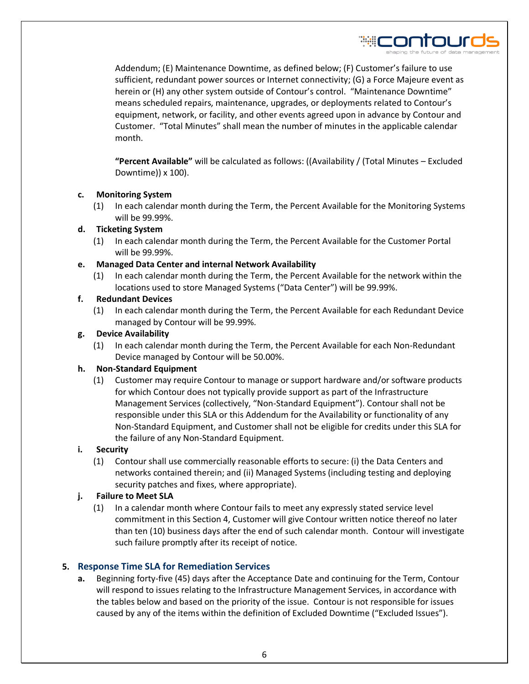Addendum; (E) Maintenance Downtime, as defined below; (F) Customer's failure to use sufficient, redundant power sources or Internet connectivity; (G) a Force Majeure event as herein or (H) any other system outside of Contour's control. "Maintenance Downtime" means scheduled repairs, maintenance, upgrades, or deployments related to Contour's equipment, network, or facility, and other events agreed upon in advance by Contour and Customer. "Total Minutes" shall mean the number of minutes in the applicable calendar month.

**"Percent Available"** will be calculated as follows: ((Availability / (Total Minutes – Excluded Downtime)) x 100).

# **c. Monitoring System**

(1) In each calendar month during the Term, the Percent Available for the Monitoring Systems will be 99.99%.

# **d. Ticketing System**

(1) In each calendar month during the Term, the Percent Available for the Customer Portal will be 99.99%.

# **e. Managed Data Center and internal Network Availability**

(1) In each calendar month during the Term, the Percent Available for the network within the locations used to store Managed Systems ("Data Center") will be 99.99%.

# **f. Redundant Devices**

(1) In each calendar month during the Term, the Percent Available for each Redundant Device managed by Contour will be 99.99%.

# **g. Device Availability**

(1) In each calendar month during the Term, the Percent Available for each Non-Redundant Device managed by Contour will be 50.00%.

#### **h. Non-Standard Equipment**

(1) Customer may require Contour to manage or support hardware and/or software products for which Contour does not typically provide support as part of the Infrastructure Management Services (collectively, "Non-Standard Equipment"). Contour shall not be responsible under this SLA or this Addendum for the Availability or functionality of any Non-Standard Equipment, and Customer shall not be eligible for credits under this SLA for the failure of any Non-Standard Equipment.

#### **i. Security**

(1) Contour shall use commercially reasonable efforts to secure: (i) the Data Centers and networks contained therein; and (ii) Managed Systems (including testing and deploying security patches and fixes, where appropriate).

# **j. Failure to Meet SLA**

(1) In a calendar month where Contour fails to meet any expressly stated service level commitment in this Section 4, Customer will give Contour written notice thereof no later than ten (10) business days after the end of such calendar month. Contour will investigate such failure promptly after its receipt of notice.

# **5. Response Time SLA for Remediation Services**

**a.** Beginning forty-five (45) days after the Acceptance Date and continuing for the Term, Contour will respond to issues relating to the Infrastructure Management Services, in accordance with the tables below and based on the priority of the issue. Contour is not responsible for issues caused by any of the items within the definition of Excluded Downtime ("Excluded Issues").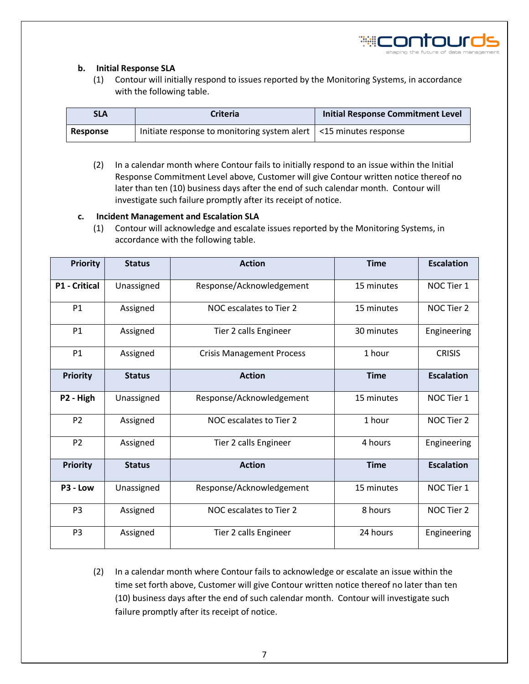

#### **b. Initial Response SLA**

(1) Contour will initially respond to issues reported by the Monitoring Systems, in accordance with the following table.

| <b>SLA</b>      | <b>Criteria</b>                                                           | <b>Initial Response Commitment Level</b> |  |
|-----------------|---------------------------------------------------------------------------|------------------------------------------|--|
| <b>Response</b> | Initiate response to monitoring system alert $\vert$ <15 minutes response |                                          |  |

(2) In a calendar month where Contour fails to initially respond to an issue within the Initial Response Commitment Level above, Customer will give Contour written notice thereof no later than ten (10) business days after the end of such calendar month. Contour will investigate such failure promptly after its receipt of notice.

#### **c. Incident Management and Escalation SLA**

(1) Contour will acknowledge and escalate issues reported by the Monitoring Systems, in accordance with the following table.

| <b>Priority</b>      | <b>Status</b> | <b>Action</b>                              | <b>Time</b> | <b>Escalation</b> |
|----------------------|---------------|--------------------------------------------|-------------|-------------------|
| <b>P1 - Critical</b> | Unassigned    | Response/Acknowledgement<br>15 minutes     |             | NOC Tier 1        |
| <b>P1</b>            | Assigned      | NOC escalates to Tier 2                    | NOC Tier 2  |                   |
| <b>P1</b>            | Assigned      | Tier 2 calls Engineer                      | Engineering |                   |
| P <sub>1</sub>       | Assigned      | 1 hour<br><b>Crisis Management Process</b> |             | <b>CRISIS</b>     |
| <b>Priority</b>      | <b>Status</b> | <b>Action</b><br><b>Time</b>               |             | <b>Escalation</b> |
| P2 - High            | Unassigned    | Response/Acknowledgement<br>15 minutes     |             | NOC Tier 1        |
| P <sub>2</sub>       | Assigned      | NOC escalates to Tier 2<br>1 hour          |             | NOC Tier 2        |
| P <sub>2</sub>       | Assigned      | Tier 2 calls Engineer<br>4 hours           |             | Engineering       |
| <b>Priority</b>      | <b>Status</b> | <b>Action</b><br><b>Time</b>               |             | <b>Escalation</b> |
| P3 - Low             | Unassigned    | Response/Acknowledgement<br>15 minutes     |             | NOC Tier 1        |
| P <sub>3</sub>       | Assigned      | NOC escalates to Tier 2<br>8 hours         |             | NOC Tier 2        |
| P <sub>3</sub>       | Assigned      | 24 hours<br>Tier 2 calls Engineer          |             | Engineering       |

(2) In a calendar month where Contour fails to acknowledge or escalate an issue within the time set forth above, Customer will give Contour written notice thereof no later than ten (10) business days after the end of such calendar month. Contour will investigate such failure promptly after its receipt of notice.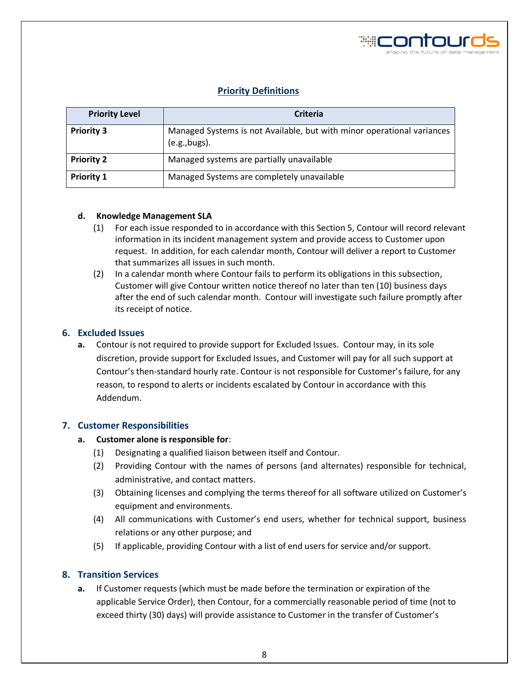

# **Priority Definitions**

| <b>Priority Level</b> | <b>Criteria</b>                                                                         |  |  |
|-----------------------|-----------------------------------------------------------------------------------------|--|--|
| <b>Priority 3</b>     | Managed Systems is not Available, but with minor operational variances<br>(e.g., bugs). |  |  |
| <b>Priority 2</b>     | Managed systems are partially unavailable                                               |  |  |
| <b>Priority 1</b>     | Managed Systems are completely unavailable                                              |  |  |

#### **d. Knowledge Management SLA**

- (1) For each issue responded to in accordance with this Section 5, Contour will record relevant information in its incident management system and provide access to Customer upon request. In addition, for each calendar month, Contour will deliver a report to Customer that summarizes all issues in such month.
- (2) In a calendar month where Contour fails to perform its obligations in this subsection, Customer will give Contour written notice thereof no later than ten (10) business days after the end of such calendar month. Contour will investigate such failure promptly after its receipt of notice.

# **6. Excluded Issues**

**a.** Contour is not required to provide support for Excluded Issues. Contour may, in its sole discretion, provide support for Excluded Issues, and Customer will pay for all such support at Contour's then-standard hourly rate. Contour is not responsible for Customer's failure, for any reason, to respond to alerts or incidents escalated by Contour in accordance with this Addendum.

#### **7. Customer Responsibilities**

#### **a. Customer alone is responsible for**:

- (1) Designating a qualified liaison between itself and Contour.
- (2) Providing Contour with the names of persons (and alternates) responsible for technical, administrative, and contact matters.
- (3) Obtaining licenses and complying the terms thereof for all software utilized on Customer's equipment and environments.
- (4) All communications with Customer's end users, whether for technical support, business relations or any other purpose; and
- (5) If applicable, providing Contour with a list of end users for service and/or support.

#### **8. Transition Services**

**a.** If Customer requests (which must be made before the termination or expiration of the applicable Service Order), then Contour, for a commercially reasonable period of time (not to exceed thirty (30) days) will provide assistance to Customer in the transfer of Customer's